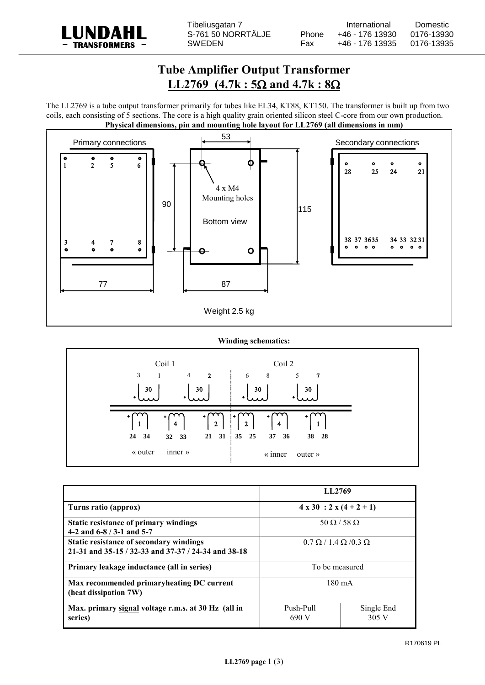

## **Tube Amplifier Output Transformer LL2769**  $(4.7k : 5\Omega \text{ and } 4.7k : 8\Omega$

The LL2769 is a tube output transformer primarily for tubes like EL34, KT88, KT150. The transformer is built up from two coils, each consisting of 5 sections. The core is a high quality grain oriented silicon steel C-core from our own production. **Physical dimensions, pin and mounting hole layout for LL2769 (all dimensions in mm)**



**Winding schematics:**



|                                                                                                | LL2769                                 |                     |
|------------------------------------------------------------------------------------------------|----------------------------------------|---------------------|
| Turns ratio (approx)                                                                           | $4 \times 30$ : $2 \times (4 + 2 + 1)$ |                     |
| Static resistance of primary windings<br>4-2 and $6-8/3-1$ and $5-7$                           | $50 \Omega / 58 \Omega$                |                     |
| Static resistance of secondary windings<br>21-31 and 35-15 / 32-33 and 37-37 / 24-34 and 38-18 | $0.7 \Omega / 1.4 \Omega / 0.3 \Omega$ |                     |
| Primary leakage inductance (all in series)                                                     | To be measured                         |                     |
| Max recommended primary heating DC current<br>(heat dissipation 7W)                            | $180 \text{ mA}$                       |                     |
| Max. primary signal voltage r.m.s. at 30 Hz (all in<br>series)                                 | Push-Pull<br>690 V                     | Single End<br>305 V |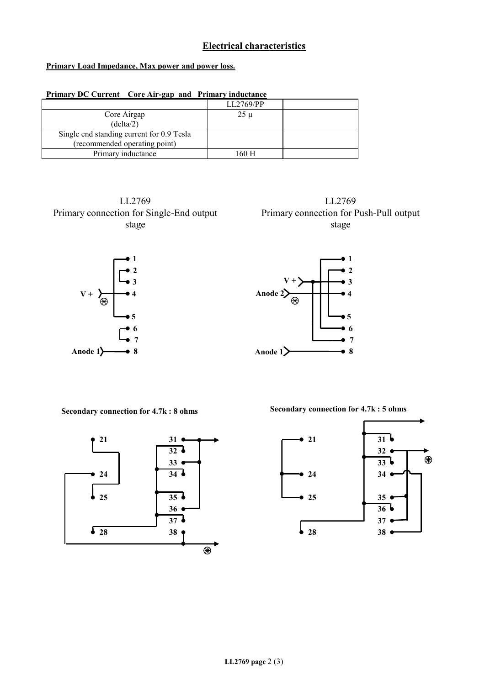## **Electrical characteristics**

## **Primary Load Impedance, Max power and power loss.**

| Primary DC Current Core Air-gap and Primary inductance |  |  |
|--------------------------------------------------------|--|--|
| LL2769/PP                                              |  |  |
| $25 \mu$                                               |  |  |
|                                                        |  |  |
|                                                        |  |  |
|                                                        |  |  |
| 160 H                                                  |  |  |
|                                                        |  |  |

LL2769 Primary connection for Single-End output stage





**Secondary connection for 4.7k : 8 ohms Secondary connection for 4.7k : 5 ohms** 



LL2769 Primary connection for Push-Pull output stage